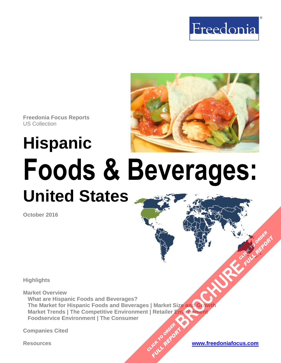



# **Hispanic Foods & Beverages: United States**

**October 2016**

**Highlights**

**Market Overview**

**What are Hispanic Foods and Beverages? The Market for Hispanic Foods and Beverages | Market Size and Growth Market Trends | The Competitive Environment | Retailer Environment Foodservice Environment | The Consumer [BROCHURE](http://www.freedoniagroup.com/FocusDetails.aspx?ReferrerId=FM-FocusBro&ReportID=FF10036) AND CLICK TO ORDER**<br>BROCHURE COUNTY

CLICK TO ORDER **FULL REPORT** 

**Companies Cited**



**FULL REPORT**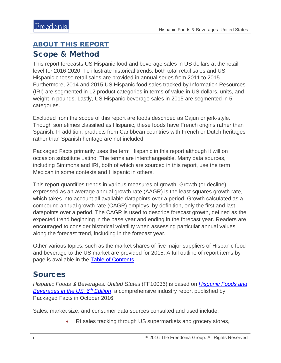# <span id="page-1-0"></span>ABOUT THIS REPORT Scope & Method

This report forecasts US Hispanic food and beverage sales in US dollars at the retail level for 2016-2020. To illustrate historical trends, both total retail sales and US Hispanic cheese retail sales are provided in annual series from 2011 to 2015. Furthermore, 2014 and 2015 US Hispanic food sales tracked by Information Resources (IRI) are segmented in 12 product categories in terms of value in US dollars, units, and weight in pounds. Lastly, US Hispanic beverage sales in 2015 are segmented in 5 categories.

Excluded from the scope of this report are foods described as Cajun or jerk-style. Though sometimes classified as Hispanic, these foods have French origins rather than Spanish. In addition, products from Caribbean countries with French or Dutch heritages rather than Spanish heritage are not included.

Packaged Facts primarily uses the term Hispanic in this report although it will on occasion substitute Latino. The terms are interchangeable. Many data sources, including Simmons and IRI, both of which are sourced in this report, use the term Mexican in some contexts and Hispanic in others.

This report quantifies trends in various measures of growth. Growth (or decline) expressed as an average annual growth rate (AAGR) is the least squares growth rate, which takes into account all available datapoints over a period. Growth calculated as a compound annual growth rate (CAGR) employs, by definition, only the first and last datapoints over a period. The CAGR is used to describe forecast growth, defined as the expected trend beginning in the base year and ending in the forecast year. Readers are encouraged to consider historical volatility when assessing particular annual values along the forecast trend, including in the forecast year.

Other various topics, such as the market shares of five major suppliers of Hispanic food and beverage to the US market are provided for 2015. A full outline of report items by page is available in the [Table of Contents.](#page-3-0)

## Sources

*Hispanic Foods & Beverages: United States* (FF10036) is based on *[Hispanic Foods and](http://www.packagedfacts.com/Hispanic-Foods-Beverages-10335332/)  [Beverages in the US, 6th](http://www.packagedfacts.com/Hispanic-Foods-Beverages-10335332/) Edition*, a comprehensive industry report published by Packaged Facts in October 2016.

Sales, market size, and consumer data sources consulted and used include:

• IRI sales tracking through US supermarkets and grocery stores,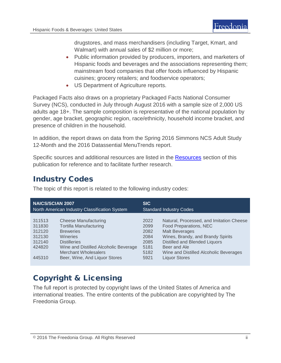drugstores, and mass merchandisers (including Target, Kmart, and Walmart) with annual sales of \$2 million or more;

- Public information provided by producers, importers, and marketers of Hispanic foods and beverages and the associations representing them; mainstream food companies that offer foods influenced by Hispanic cuisines; grocery retailers; and foodservice operators;
- US Department of Agriculture reports.

Packaged Facts also draws on a proprietary Packaged Facts National Consumer Survey (NCS), conducted in July through August 2016 with a sample size of 2,000 US adults age 18+. The sample composition is representative of the national population by gender, age bracket, geographic region, race/ethnicity, household income bracket, and presence of children in the household.

In addition, the report draws on data from the Spring 2016 Simmons NCS Adult Study 12-Month and the 2016 Datassential MenuTrends report.

Specific sources and additional resources are listed in the [Resources](#page-4-0) section of this publication for reference and to facilitate further research.

## Industry Codes

| <b>NAICS/SCIAN 2007</b><br>North American Industry Classification System                                                                                                                                                                                                                           | <b>SIC</b>                                                   | <b>Standard Industry Codes</b>                                                                                                                                                                                                                      |
|----------------------------------------------------------------------------------------------------------------------------------------------------------------------------------------------------------------------------------------------------------------------------------------------------|--------------------------------------------------------------|-----------------------------------------------------------------------------------------------------------------------------------------------------------------------------------------------------------------------------------------------------|
| <b>Cheese Manufacturing</b><br>311513<br><b>Tortilla Manufacturing</b><br>311830<br>312120<br><b>Breweries</b><br>312130<br>Wineries<br>312140<br><b>Distilleries</b><br>424820<br>Wine and Distilled Alcoholic Beverage<br><b>Merchant Wholesalers</b><br>Beer, Wine, And Liquor Stores<br>445310 | 2022<br>2099<br>2082<br>2084<br>2085<br>5181<br>5182<br>5921 | Natural, Processed, and Imitation Cheese<br>Food Preparations, NEC<br><b>Malt Beverages</b><br>Wines, Brandy, and Brandy Spirits<br>Distilled and Blended Liquors<br>Beer and Ale<br>Wine and Distilled Alcoholic Beverages<br><b>Liquor Stores</b> |

The topic of this report is related to the following industry codes:

# Copyright & Licensing

The full report is protected by copyright laws of the United States of America and international treaties. The entire contents of the publication are copyrighted by The Freedonia Group.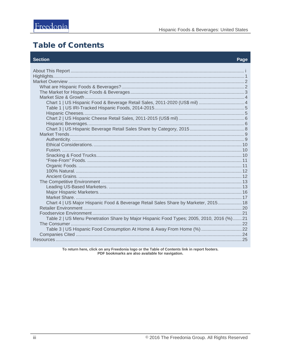# <span id="page-3-0"></span>**Table of Contents**

#### **Section**

#### Page

| Chart 1   US Hispanic Food & Beverage Retail Sales, 2011-2020 (US\$ mil)  4              |  |
|------------------------------------------------------------------------------------------|--|
|                                                                                          |  |
|                                                                                          |  |
|                                                                                          |  |
|                                                                                          |  |
|                                                                                          |  |
|                                                                                          |  |
|                                                                                          |  |
|                                                                                          |  |
|                                                                                          |  |
|                                                                                          |  |
|                                                                                          |  |
|                                                                                          |  |
|                                                                                          |  |
| Chart 4   US Major Hispanic Food & Beverage Retail Sales Share by Marketer, 2015 18      |  |
|                                                                                          |  |
| Table 2   US Menu Penetration Share by Major Hispanic Food Types; 2005, 2010, 2016 (%)21 |  |
| Table 3   US Hispanic Food Consumption At Home & Away From Home (%)  22                  |  |
|                                                                                          |  |
|                                                                                          |  |

To return here, click on any Freedonia logo or the Table of Contents link in report footers.<br>PDF bookmarks are also available for navigation.